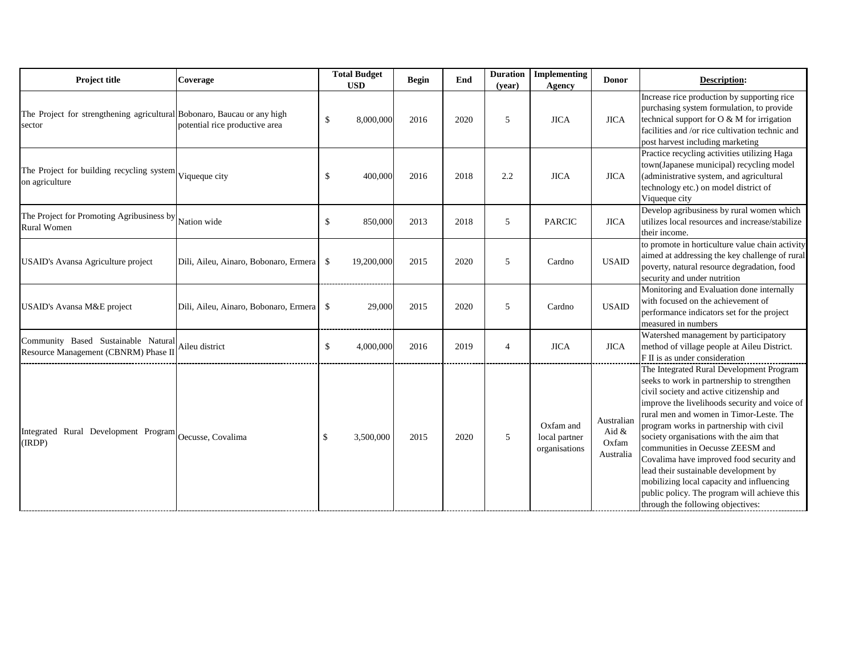| <b>Project title</b><br><b>Coverage</b><br><b>USD</b>                             |                                       | <b>Total Budget</b>                    | <b>Begin</b> | End  | <b>Duration</b><br>(year) | <b>Implementing</b><br><b>Agency</b>        | <b>Donor</b>                              |                                                                                                                                                 |
|-----------------------------------------------------------------------------------|---------------------------------------|----------------------------------------|--------------|------|---------------------------|---------------------------------------------|-------------------------------------------|-------------------------------------------------------------------------------------------------------------------------------------------------|
| The Project for strengthening agricultural Bobonaro, Baucau or any high<br>sector | potential rice productive area        | $\boldsymbol{\mathsf{S}}$<br>8,000,000 | 2016         | 2020 | 5                         | <b>JICA</b>                                 | <b>JICA</b>                               | Increase<br>purchas<br>technica<br>facilitie<br>post har                                                                                        |
| The Project for building recycling system Viqueque city<br>on agriculture         |                                       | 400,000<br>$\boldsymbol{\mathsf{S}}$   | 2016         | 2018 | 2.2                       | <b>JICA</b>                                 | <b>JICA</b>                               | Practice<br>town(Ja<br>(admini<br>technolo<br>Viquequ                                                                                           |
| The Project for Promoting Agribusiness by Nation wide<br><b>Rural Women</b>       |                                       | \$<br>850,000                          | 2013         | 2018 | 5                         | <b>PARCIC</b>                               | <b>JICA</b>                               | Develop<br>utilizes<br>their ind                                                                                                                |
| <b>USAID's Avansa Agriculture project</b>                                         | Dili, Aileu, Ainaro, Bobonaro, Ermera | 19,200,000<br>$\mathcal{S}$            | 2015         | 2020 | 5                         | Cardno                                      | <b>USAID</b>                              | to prom<br>aimed a<br><i>poverty</i><br>security                                                                                                |
| <b>USAID's Avansa M&amp;E project</b>                                             | Dili, Aileu, Ainaro, Bobonaro, Ermera | 29,000<br>\$                           | 2015         | 2020 | 5                         | Cardno                                      | <b>USAID</b>                              | Monitor<br>with foo<br>perform<br>measure                                                                                                       |
| Community Based Sustainable Natural<br>Resource Management (CBNRM) Phase II       | Aileu district                        | $\boldsymbol{\mathsf{S}}$<br>4,000,000 | 2016         | 2019 | $\overline{4}$            | <b>JICA</b>                                 | <b>JICA</b>                               | Watersh<br>method<br>FII is a                                                                                                                   |
| Integrated Rural Development Program Oecusse, Covalima<br>(IRDP)                  |                                       | $\boldsymbol{\mathsf{S}}$<br>3,500,000 | 2015         | 2020 | $5\overline{)}$           | Oxfam and<br>local partner<br>organisations | Australian<br>Aid &<br>Oxfam<br>Australia | The Inte<br>seeks to<br>civil so<br>improve<br>rural me<br>progran<br>society<br>commu<br>Covalin<br>lead the<br>mobiliz<br>public p<br>through |

The Integrated Rural Development Program work in partnership to strengthen ciety and active citizenship and re the livelihoods security and voice of en and women in Timor-Leste. The n works in partnership with civil organisations with the aim that communities in Oecusse ZEESM and na have improved food security and eir sustainable development by zing local capacity and influencing policy. The program will achieve this the following objectives:

## **Description:**

Increase rice production by supporting rice sing system formulation, to provide the support for O  $\&$  M for irrigation es and /or rice cultivation technic and rvest including marketing

recycling activities utilizing Haga apanese municipal) recycling model istrative system, and agricultural ogy etc.) on model district of ue city

pp agribusiness by rural women which local resources and increase/stabilize come.

note in horticulture value chain activity at addressing the key challenge of rural , natural resource degradation, food and under nutrition

ring and Evaluation done internally cused on the achievement of nance indicators set for the project ed in numbers

hed management by participatory of village people at Aileu District. is under consideration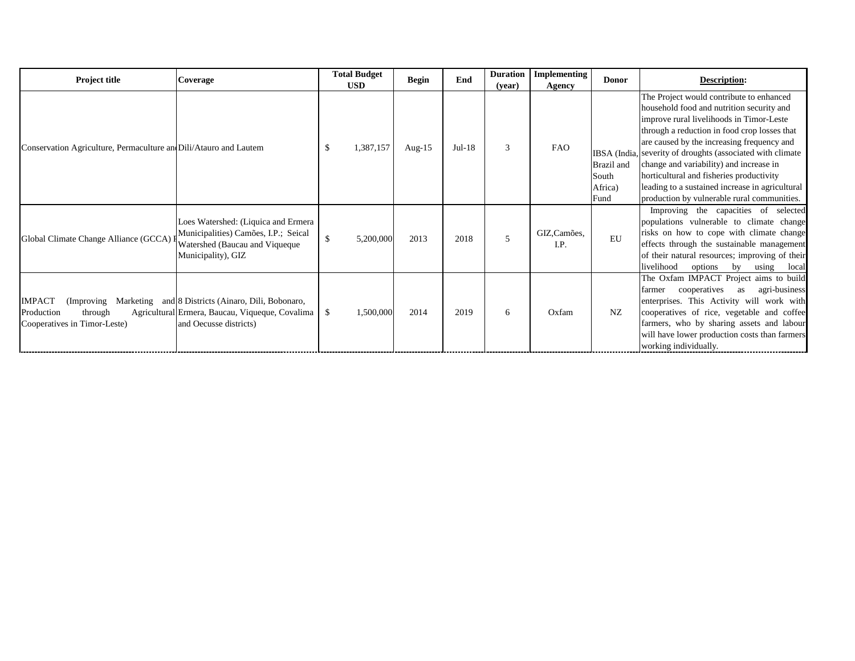| <b>Project title</b>                                                   | <b>Coverage</b>                                                                                                                            | <b>Total Budget</b><br><b>USD</b> | <b>Begin</b> | End      | <b>Duration</b><br>(year) | <b>Implementing</b><br><b>Agency</b> | <b>Donor</b>                                           |                                                                                                                |
|------------------------------------------------------------------------|--------------------------------------------------------------------------------------------------------------------------------------------|-----------------------------------|--------------|----------|---------------------------|--------------------------------------|--------------------------------------------------------|----------------------------------------------------------------------------------------------------------------|
| Conservation Agriculture, Permaculture an Dili/Atauro and Lautem       |                                                                                                                                            | \$<br>1,387,157                   | Aug- $15$    | $Jul-18$ | 3                         | <b>FAO</b>                           | IBSA (India,<br>Brazil and<br>South<br>Africa)<br>Fund | The Pro<br>househo<br>improve<br>through<br>are caus<br>severity<br>change:<br>horticul<br>leading<br>producti |
| Global Climate Change Alliance (GCCA)                                  | Loes Watershed: (Liquica and Ermera<br>Municipalities) Camões, I.P.; Seical<br>Watershed (Baucau and Viqueque<br>Municipality), GIZ        | $\mathcal{S}$<br>5,200,000        | 2013         | 2018     | 5                         | GIZ, Camões,<br>I.P.                 | EU                                                     | Impro<br>populati<br>risks or<br>effects<br>of their<br>liveliho                                               |
| <b>IMPACT</b><br>through<br>Production<br>Cooperatives in Timor-Leste) | (Improving Marketing and 8 Districts (Ainaro, Dili, Bobonaro,<br>Agricultural Ermera, Baucau, Viqueque, Covalima<br>and Oecusse districts) | $\mathcal{S}$<br>1,500,000        | 2014         | 2019     | 6                         | Oxfam                                | NZ                                                     | The Ox<br>farmer<br>enterpri<br>coopera<br>farmers.<br>will hav<br>working                                     |

## **Description:**

bject would contribute to enhanced hold food and nutrition security and e rural livelihoods in Timor-Leste a reduction in food crop losses that sed by the increasing frequency and of droughts (associated with climate and variability) and increase in ltural and fisheries productivity to a sustained increase in agricultural ion by vulnerable rural communities. oving the capacities of selected ions vulnerable to climate change in how to cope with climate change through the sustainable management natural resources; improving of their od options by using local The Oxfam IMPACT Project aims to build cooperatives as agri-business ises. This Activity will work with atives of rice, vegetable and coffee who by sharing assets and labour ve lower production costs than farmers g individually.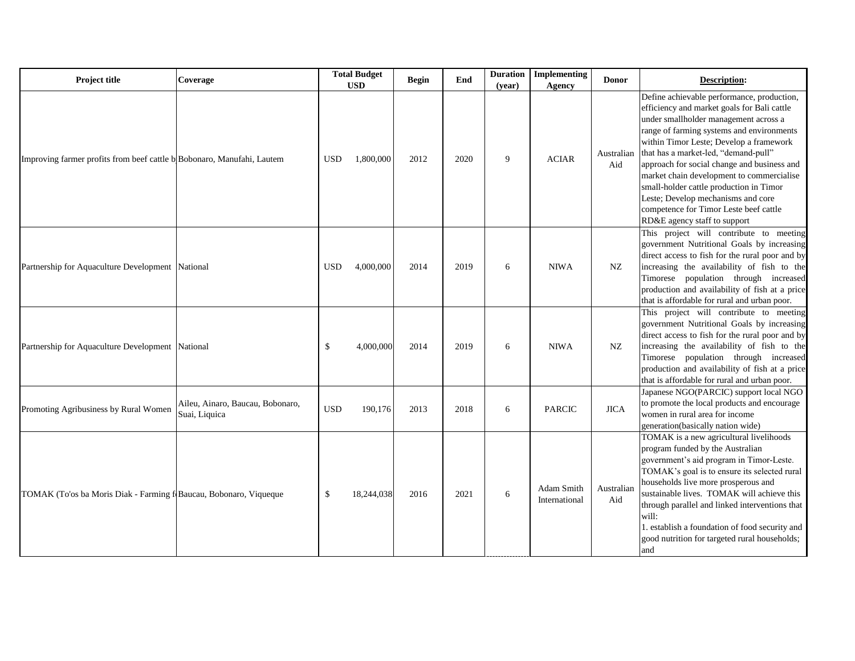| <b>Project title</b>                                                   | <b>Coverage</b>                                   | <b>Total Budget</b><br><b>USD</b> |            | <b>Begin</b> | End  | <b>Duration</b><br>(year) | Implementing<br><b>Agency</b> | <b>Donor</b>      |                                                                                                                                       |
|------------------------------------------------------------------------|---------------------------------------------------|-----------------------------------|------------|--------------|------|---------------------------|-------------------------------|-------------------|---------------------------------------------------------------------------------------------------------------------------------------|
| Improving farmer profits from beef cattle b Bobonaro, Manufahi, Lautem |                                                   | <b>USD</b>                        | 1,800,000  | 2012         | 2020 | 9                         | <b>ACIAR</b>                  | Australian<br>Aid | Define a<br>efficien<br>under sr<br>range of<br>within 7<br>that has<br>approac<br>market<br>small-ho<br>Leste; D<br>compete<br>RD&E: |
| Partnership for Aquaculture Development National                       |                                                   | <b>USD</b>                        | 4,000,000  | 2014         | 2019 | 6                         | <b>NIWA</b>                   | NZ                | This p<br>governn<br>direct a<br>increasi<br>Timores<br>producti<br>that is a                                                         |
| Partnership for Aquaculture Development   National                     |                                                   | $\boldsymbol{\mathsf{S}}$         | 4,000,000  | 2014         | 2019 | 6                         | <b>NIWA</b>                   | NZ                | This p<br>governn<br>direct a<br>increasi<br>Timores<br>producti<br>that is a                                                         |
| Promoting Agribusiness by Rural Women                                  | Aileu, Ainaro, Baucau, Bobonaro,<br>Suai, Liquica | <b>USD</b>                        | 190,176    | 2013         | 2018 | 6                         | <b>PARCIC</b>                 | <b>JICA</b>       | Japanes<br>to prom<br>women<br>generati                                                                                               |
| TOMAK (To'os ba Moris Diak - Farming f Baucau, Bobonaro, Viqueque      |                                                   | $\boldsymbol{\mathsf{S}}$         | 18,244,038 | 2016         | 2021 | 6                         | Adam Smith<br>International   | Australian<br>Aid | <b>TOMAI</b><br>program<br>governn<br><b>TOMAI</b><br>househo<br>sustaina<br>through<br>will:<br>1. establ<br>good nu<br>and          |

## **Description:**

achievable performance, production, cy and market goals for Bali cattle mallholder management across a farming systems and environments Fimor Leste; Develop a framework a market-led, "demand-pull" ch for social change and business and chain development to commercialise older cattle production in Timor Develop mechanisms and core ence for Timor Leste beef cattle agency staff to support

This project will contribute to meeting ment Nutritional Goals by increasing ccess to fish for the rural poor and by ng the availability of fish to the se population through increased ion and availability of fish at a price ffordable for rural and urban poor. roject will contribute to meeting ment Nutritional Goals by increasing ccess to fish for the rural poor and by ng the availability of fish to the se population through increased

ion and availability of fish at a price ffordable for rural and urban poor. se NGO(PARCIC) support local NGO

ote the local products and encourage in rural area for income on(basically nation wide)

K is a new agricultural livelihoods

n funded by the Australian

nent's aid program in Timor-Leste. K's goal is to ensure its selected rural holds live more prosperous and

ble lives. TOMAK will achieve this parallel and linked interventions that

lish a foundation of food security and trition for targeted rural households;